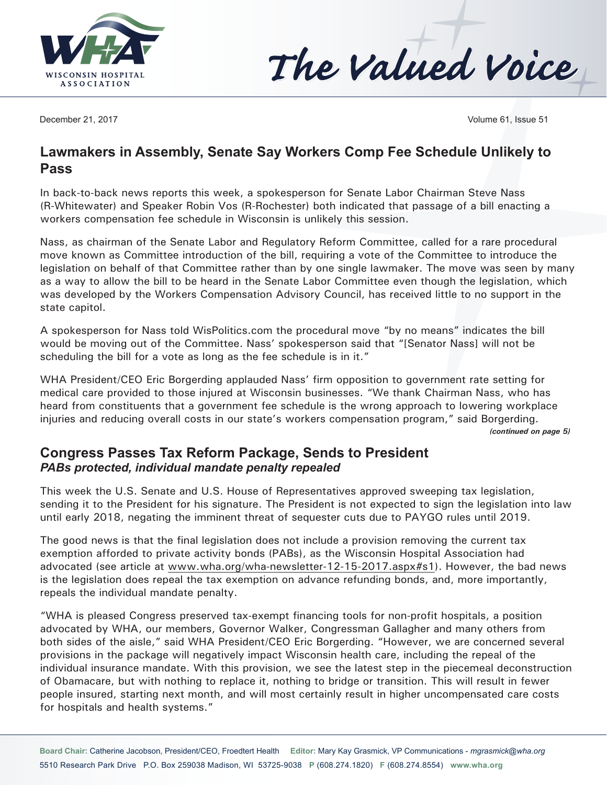



December 21, 2017 Volume 61, Issue 51

## **Lawmakers in Assembly, Senate Say Workers Comp Fee Schedule Unlikely to Pass**

In back-to-back news reports this week, a spokesperson for Senate Labor Chairman Steve Nass (R-Whitewater) and Speaker Robin Vos (R-Rochester) both indicated that passage of a bill enacting a workers compensation fee schedule in Wisconsin is unlikely this session.

Nass, as chairman of the Senate Labor and Regulatory Reform Committee, called for a rare procedural move known as Committee introduction of the bill, requiring a vote of the Committee to introduce the legislation on behalf of that Committee rather than by one single lawmaker. The move was seen by many as a way to allow the bill to be heard in the Senate Labor Committee even though the legislation, which was developed by the Workers Compensation Advisory Council, has received little to no support in the state capitol.

A spokesperson for Nass told WisPolitics.com the procedural move "by no means" indicates the bill would be moving out of the Committee. Nass' spokesperson said that "[Senator Nass] will not be scheduling the bill for a vote as long as the fee schedule is in it."

WHA President/CEO Eric Borgerding applauded Nass' firm opposition to government rate setting for medical care provided to those injured at Wisconsin businesses. "We thank Chairman Nass, who has heard from constituents that a government fee schedule is the wrong approach to lowering workplace injuries and reducing overall costs in our state's workers compensation program," said Borgerding. *(continued on page 5)*

#### **Congress Passes Tax Reform Package, Sends to President** *PABs protected, individual mandate penalty repealed*

This week the U.S. Senate and U.S. House of Representatives approved sweeping tax legislation, sending it to the President for his signature. The President is not expected to sign the legislation into law until early 2018, negating the imminent threat of sequester cuts due to PAYGO rules until 2019.

The good news is that the final legislation does not include a provision removing the current tax exemption afforded to private activity bonds (PABs), as the Wisconsin Hospital Association had advocated (see article at [www.wha.org/wha-newsletter-12-15-2017.aspx](http://www.wha.org/wha-newsletter-12-15-2017.aspx#s1)#s1). However, the bad news is the legislation does repeal the tax exemption on advance refunding bonds, and, more importantly, repeals the individual mandate penalty.

"WHA is pleased Congress preserved tax-exempt financing tools for non-profit hospitals, a position advocated by WHA, our members, Governor Walker, Congressman Gallagher and many others from both sides of the aisle," said WHA President/CEO Eric Borgerding. "However, we are concerned several provisions in the package will negatively impact Wisconsin health care, including the repeal of the individual insurance mandate. With this provision, we see the latest step in the piecemeal deconstruction of Obamacare, but with nothing to replace it, nothing to bridge or transition. This will result in fewer people insured, starting next month, and will most certainly result in higher uncompensated care costs for hospitals and health systems."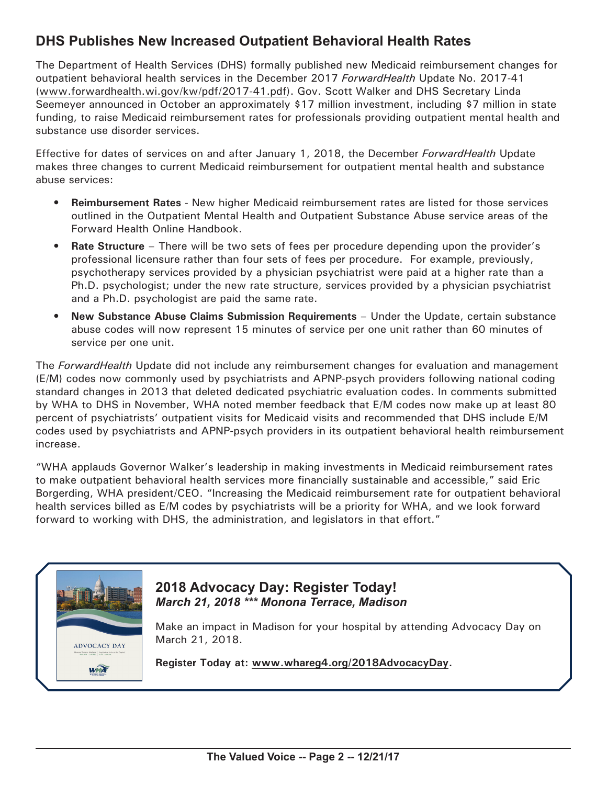# **DHS Publishes New Increased Outpatient Behavioral Health Rates**

The Department of Health Services (DHS) formally published new Medicaid reimbursement changes for outpatient behavioral health services in the December 2017 *ForwardHealth* Update No. 2017-41 ([www.forwardhealth.wi.gov/kw/pdf/2017-41.pdf](http://www.forwardhealth.wi.gov/kw/pdf/2017-41.pdf)). Gov. Scott Walker and DHS Secretary Linda Seemeyer announced in October an approximately \$17 million investment, including \$7 million in state funding, to raise Medicaid reimbursement rates for professionals providing outpatient mental health and substance use disorder services.

Effective for dates of services on and after January 1, 2018, the December *ForwardHealth* Update makes three changes to current Medicaid reimbursement for outpatient mental health and substance abuse services:

- **• Reimbursement Rates** New higher Medicaid reimbursement rates are listed for those services outlined in the Outpatient Mental Health and Outpatient Substance Abuse service areas of the Forward Health Online Handbook.
- **• Rate Structure** There will be two sets of fees per procedure depending upon the provider's professional licensure rather than four sets of fees per procedure. For example, previously, psychotherapy services provided by a physician psychiatrist were paid at a higher rate than a Ph.D. psychologist; under the new rate structure, services provided by a physician psychiatrist and a Ph.D. psychologist are paid the same rate.
- **• New Substance Abuse Claims Submission Requirements** Under the Update, certain substance abuse codes will now represent 15 minutes of service per one unit rather than 60 minutes of service per one unit.

The *ForwardHealth* Update did not include any reimbursement changes for evaluation and management (E/M) codes now commonly used by psychiatrists and APNP-psych providers following national coding standard changes in 2013 that deleted dedicated psychiatric evaluation codes. In comments submitted by WHA to DHS in November, WHA noted member feedback that E/M codes now make up at least 80 percent of psychiatrists' outpatient visits for Medicaid visits and recommended that DHS include E/M codes used by psychiatrists and APNP-psych providers in its outpatient behavioral health reimbursement increase.

"WHA applauds Governor Walker's leadership in making investments in Medicaid reimbursement rates to make outpatient behavioral health services more financially sustainable and accessible," said Eric Borgerding, WHA president/CEO. "Increasing the Medicaid reimbursement rate for outpatient behavioral health services billed as E/M codes by psychiatrists will be a priority for WHA, and we look forward forward to working with DHS, the administration, and legislators in that effort."



#### **2018 Advocacy Day: Register Today!** *March 21, 2018 \*\*\* Monona Terrace, Madison*

Make an impact in Madison for your hospital by attending Advocacy Day on March 21, 2018.

**Register Today at: [www.whareg4.org](http://www.whareg4.org/2018AdvocacyDay)/2018AdvocacyDay.**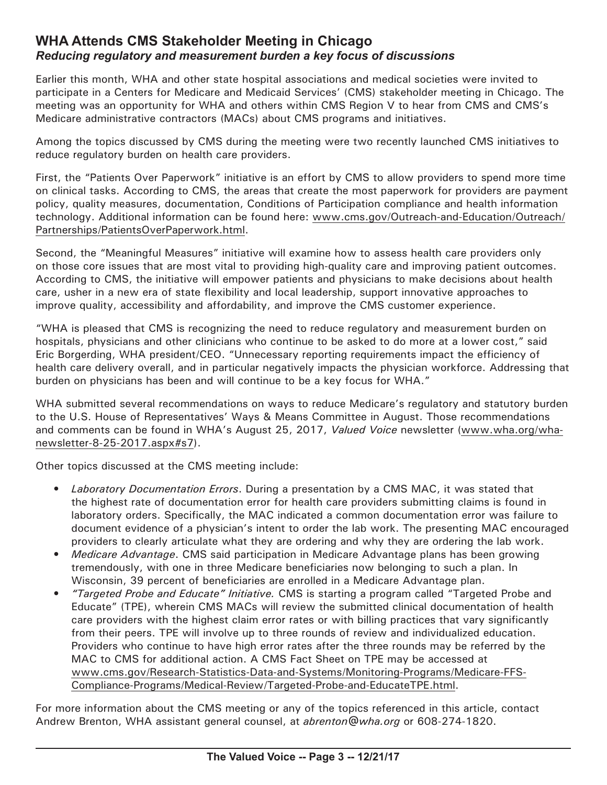### **WHA Attends CMS Stakeholder Meeting in Chicago** *Reducing regulatory and measurement burden a key focus of discussions*

Earlier this month, WHA and other state hospital associations and medical societies were invited to participate in a Centers for Medicare and Medicaid Services' (CMS) stakeholder meeting in Chicago. The meeting was an opportunity for WHA and others within CMS Region V to hear from CMS and CMS's Medicare administrative contractors (MACs) about CMS programs and initiatives.

Among the topics discussed by CMS during the meeting were two recently launched CMS initiatives to reduce regulatory burden on health care providers.

First, the "Patients Over Paperwork" initiative is an effort by CMS to allow providers to spend more time on clinical tasks. According to CMS, the areas that create the most paperwork for providers are payment policy, quality measures, documentation, Conditions of Participation compliance and health information technology. Additional information can be found here: [www.cms.gov/Outreach-and-Education/Outreach/](http://www.cms.gov/Outreach-and-Education/Outreach/Partnerships/PatientsOverPaperwork.html) [Partnerships/PatientsOverPaperwork.html](http://www.cms.gov/Outreach-and-Education/Outreach/Partnerships/PatientsOverPaperwork.html).

Second, the "Meaningful Measures" initiative will examine how to assess health care providers only on those core issues that are most vital to providing high-quality care and improving patient outcomes. According to CMS, the initiative will empower patients and physicians to make decisions about health care, usher in a new era of state flexibility and local leadership, support innovative approaches to improve quality, accessibility and affordability, and improve the CMS customer experience.

"WHA is pleased that CMS is recognizing the need to reduce regulatory and measurement burden on hospitals, physicians and other clinicians who continue to be asked to do more at a lower cost," said Eric Borgerding, WHA president/CEO. "Unnecessary reporting requirements impact the efficiency of health care delivery overall, and in particular negatively impacts the physician workforce. Addressing that burden on physicians has been and will continue to be a key focus for WHA."

WHA submitted several recommendations on ways to reduce Medicare's regulatory and statutory burden to the U.S. House of Representatives' Ways & Means Committee in August. Those recommendations and comments can be found in WHA's August 25, 2017, *Valued Voice* newsletter [\(www.wha.org/wha](http://www.wha.org/wha-newsletter-8-25-2017.aspx#s7)[newsletter-8-25-2017.aspx](http://www.wha.org/wha-newsletter-8-25-2017.aspx#s7)#s7).

Other topics discussed at the CMS meeting include:

- *• Laboratory Documentation Errors*. During a presentation by a CMS MAC, it was stated that the highest rate of documentation error for health care providers submitting claims is found in laboratory orders. Specifically, the MAC indicated a common documentation error was failure to document evidence of a physician's intent to order the lab work. The presenting MAC encouraged providers to clearly articulate what they are ordering and why they are ordering the lab work.
- *• Medicare Advantage*. CMS said participation in Medicare Advantage plans has been growing tremendously, with one in three Medicare beneficiaries now belonging to such a plan. In Wisconsin, 39 percent of beneficiaries are enrolled in a Medicare Advantage plan.
- *• "Targeted Probe and Educate" Initiative.* CMS is starting a program called "Targeted Probe and Educate" (TPE), wherein CMS MACs will review the submitted clinical documentation of health care providers with the highest claim error rates or with billing practices that vary significantly from their peers. TPE will involve up to three rounds of review and individualized education. Providers who continue to have high error rates after the three rounds may be referred by the MAC to CMS for additional action. A CMS Fact Sheet on TPE may be accessed at [www.cms.gov/Research-Statistics-Data-and-Systems/Monitoring-Programs/Medicare-FFS-](http://www.cms.gov/Research-Statistics-Data-and-Systems/Monitoring-Programs/Medicare-FFS-Compliance-Programs/Medical-Review/Targeted-Probe-and-EducateTPE.html)[Compliance-Programs/Medical-Review/Targeted-Probe-and-EducateTPE.html](http://www.cms.gov/Research-Statistics-Data-and-Systems/Monitoring-Programs/Medicare-FFS-Compliance-Programs/Medical-Review/Targeted-Probe-and-EducateTPE.html).

For more information about the CMS meeting or any of the topics referenced in this article, contact Andrew Brenton, WHA assistant general counsel, at *[abrenton@wha.org](mailto:abrenton@wha.org)* or 608-274-1820.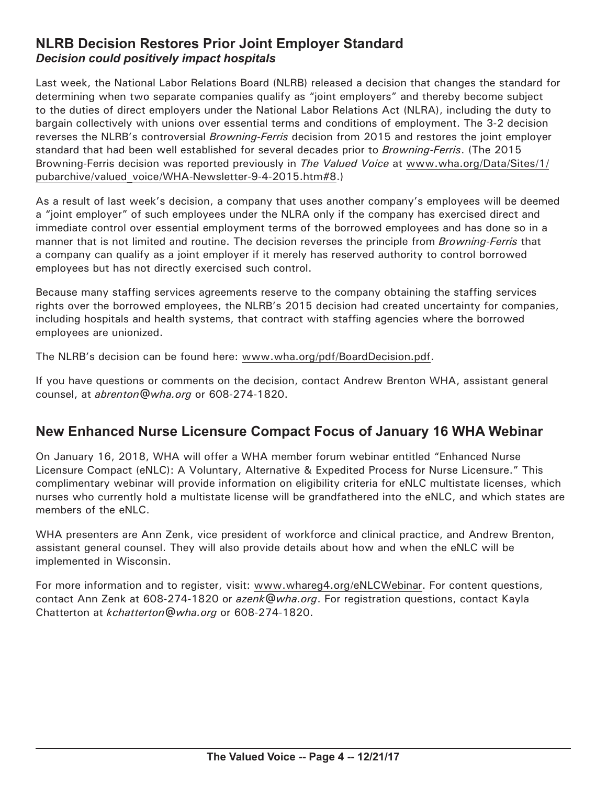#### **NLRB Decision Restores Prior Joint Employer Standard** *Decision could positively impact hospitals*

Last week, the National Labor Relations Board (NLRB) released a decision that changes the standard for determining when two separate companies qualify as "joint employers" and thereby become subject to the duties of direct employers under the National Labor Relations Act (NLRA), including the duty to bargain collectively with unions over essential terms and conditions of employment. The 3-2 decision reverses the NLRB's controversial *Browning-Ferris* decision from 2015 and restores the joint employer standard that had been well established for several decades prior to *Browning-Ferris*. (The 2015 Browning-Ferris decision was reported previously in *The Valued Voice* at [www.wha.org/Data/Sites/1/](http://www.wha.org/Data/Sites/1/pubarchive/valued_voice/WHA-Newsletter-9-4-2015.htm#8) [pubarchive/valued\\_voice/WHA-Newsletter-9-4-2015.htm#](http://www.wha.org/Data/Sites/1/pubarchive/valued_voice/WHA-Newsletter-9-4-2015.htm#8)8.)

As a result of last week's decision, a company that uses another company's employees will be deemed a "joint employer" of such employees under the NLRA only if the company has exercised direct and immediate control over essential employment terms of the borrowed employees and has done so in a manner that is not limited and routine. The decision reverses the principle from *Browning-Ferris* that a company can qualify as a joint employer if it merely has reserved authority to control borrowed employees but has not directly exercised such control.

Because many staffing services agreements reserve to the company obtaining the staffing services rights over the borrowed employees, the NLRB's 2015 decision had created uncertainty for companies, including hospitals and health systems, that contract with staffing agencies where the borrowed employees are unionized.

The NLRB's decision can be found here: [www.wha.org/pdf/BoardDecision.pdf](http://www.wha.org/pdf/BoardDecision.pdf).

If you have questions or comments on the decision, contact Andrew Brenton WHA, assistant general counsel, at *[abrenton@wha.org](mailto:abrenton@wha.org)* or 608-274-1820.

# **New Enhanced Nurse Licensure Compact Focus of January 16 WHA Webinar**

On January 16, 2018, WHA will offer a WHA member forum webinar entitled "Enhanced Nurse Licensure Compact (eNLC): A Voluntary, Alternative & Expedited Process for Nurse Licensure." This complimentary webinar will provide information on eligibility criteria for eNLC multistate licenses, which nurses who currently hold a multistate license will be grandfathered into the eNLC, and which states are members of the eNLC.

WHA presenters are Ann Zenk, vice president of workforce and clinical practice, and Andrew Brenton, assistant general counsel. They will also provide details about how and when the eNLC will be implemented in Wisconsin.

For more information and to register, visit: [www.whareg4.org/eNLCWebinar.](http://www.whareg4.org/eNLCWebinar) For content questions, contact Ann Zenk at 608-274-1820 or *[azenk@wha.org](mailto:azenk@wha.org)*. For registration questions, contact Kayla Chatterton at *[kchatterton@wha.org](mailto:kchatterton@wha.org)* or 608-274-1820.